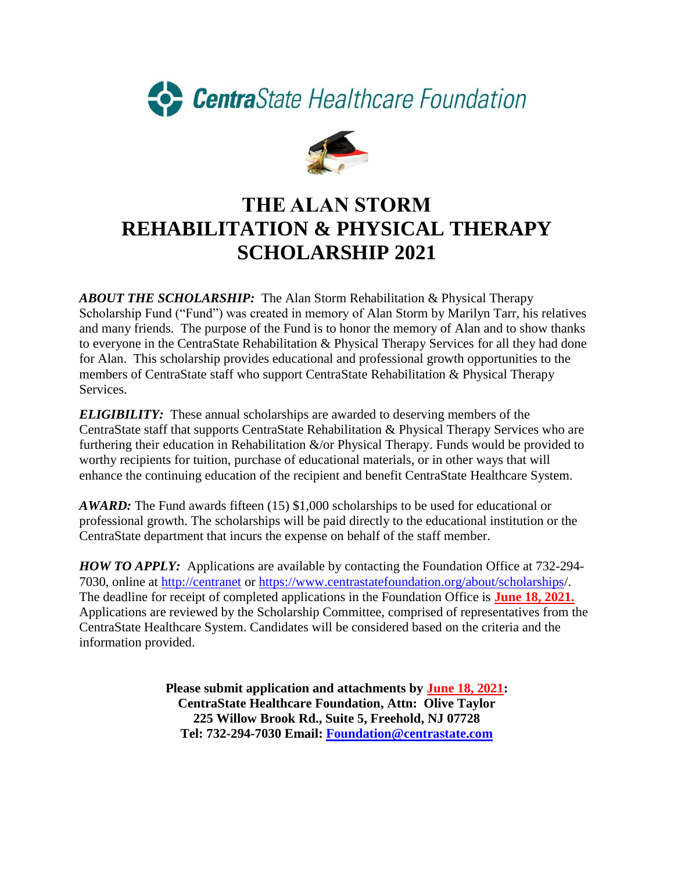



## **THE ALAN STORM REHABILITATION & PHYSICAL THERAPY SCHOLARSHIP 2021**

*ABOUT THE SCHOLARSHIP:* The Alan Storm Rehabilitation & Physical Therapy Scholarship Fund ("Fund") was created in memory of Alan Storm by Marilyn Tarr, his relatives and many friends. The purpose of the Fund is to honor the memory of Alan and to show thanks to everyone in the CentraState Rehabilitation & Physical Therapy Services for all they had done for Alan. This scholarship provides educational and professional growth opportunities to the members of CentraState staff who support CentraState Rehabilitation & Physical Therapy Services.

*ELIGIBILITY:* These annual scholarships are awarded to deserving members of the CentraState staff that supports CentraState Rehabilitation & Physical Therapy Services who are furthering their education in Rehabilitation  $\&$ /or Physical Therapy. Funds would be provided to worthy recipients for tuition, purchase of educational materials, or in other ways that will enhance the continuing education of the recipient and benefit CentraState Healthcare System.

*AWARD:* The Fund awards fifteen (15) \$1,000 scholarships to be used for educational or professional growth. The scholarships will be paid directly to the educational institution or the CentraState department that incurs the expense on behalf of the staff member.

*HOW TO APPLY:* Applications are available by contacting the Foundation Office at 732-294- 7030, online at [http://centranet](http://centranet/) or<https://www.centrastatefoundation.org/about/scholarships/>. The deadline for receipt of completed applications in the Foundation Office is **June 18, 2021.** Applications are reviewed by the Scholarship Committee, comprised of representatives from the CentraState Healthcare System. Candidates will be considered based on the criteria and the information provided.

> **Please submit application and attachments by June 18, 2021: CentraState Healthcare Foundation, Attn: Olive Taylor 225 Willow Brook Rd., Suite 5, Freehold, NJ 07728 Tel: 732-294-7030 Email: [Foundation@centrastate.com](mailto:Foundation@centrastate.com)**